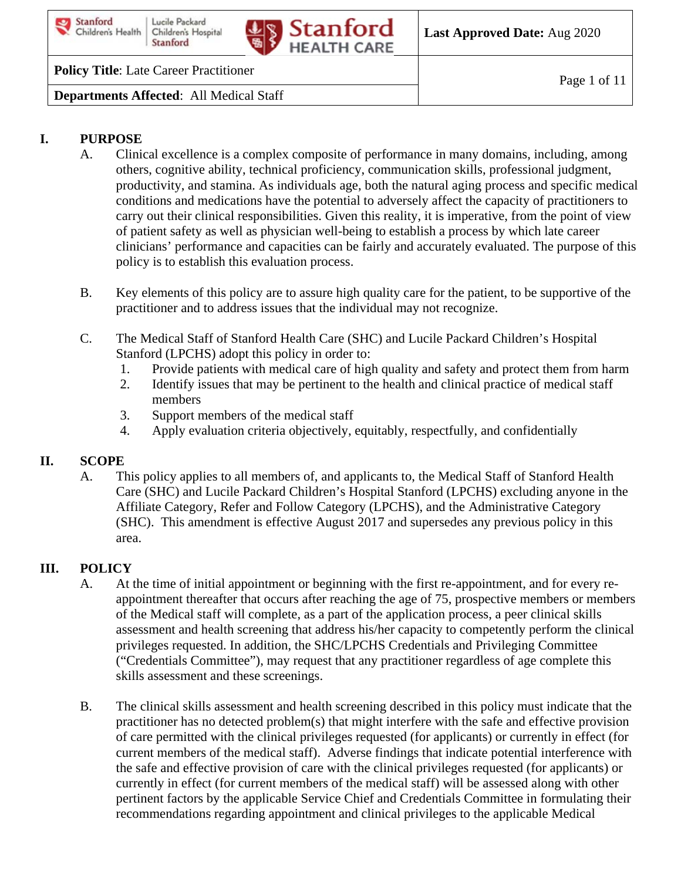



**Last Approved Date:** Aug 2020

### **Policy Title**: Late Career Practitioner

**Departments Affected**: All Medical Staff

### **I. PURPOSE**

- A. Clinical excellence is a complex composite of performance in many domains, including, among others, cognitive ability, technical proficiency, communication skills, professional judgment, productivity, and stamina. As individuals age, both the natural aging process and specific medical conditions and medications have the potential to adversely affect the capacity of practitioners to carry out their clinical responsibilities. Given this reality, it is imperative, from the point of view of patient safety as well as physician well-being to establish a process by which late career clinicians' performance and capacities can be fairly and accurately evaluated. The purpose of this policy is to establish this evaluation process.
- B. Key elements of this policy are to assure high quality care for the patient, to be supportive of the practitioner and to address issues that the individual may not recognize.
- C. The Medical Staff of Stanford Health Care (SHC) and Lucile Packard Children's Hospital Stanford (LPCHS) adopt this policy in order to:
	- 1. Provide patients with medical care of high quality and safety and protect them from harm
	- 2. Identify issues that may be pertinent to the health and clinical practice of medical staff members
	- 3. Support members of the medical staff
	- 4. Apply evaluation criteria objectively, equitably, respectfully, and confidentially

#### **II. SCOPE**

A. This policy applies to all members of, and applicants to, the Medical Staff of Stanford Health Care (SHC) and Lucile Packard Children's Hospital Stanford (LPCHS) excluding anyone in the Affiliate Category, Refer and Follow Category (LPCHS), and the Administrative Category (SHC). This amendment is effective August 2017 and supersedes any previous policy in this area.

### **III. POLICY**

- A. At the time of initial appointment or beginning with the first re-appointment, and for every reappointment thereafter that occurs after reaching the age of 75, prospective members or members of the Medical staff will complete, as a part of the application process, a peer clinical skills assessment and health screening that address his/her capacity to competently perform the clinical privileges requested. In addition, the SHC/LPCHS Credentials and Privileging Committee ("Credentials Committee"), may request that any practitioner regardless of age complete this skills assessment and these screenings.
- B. The clinical skills assessment and health screening described in this policy must indicate that the practitioner has no detected problem(s) that might interfere with the safe and effective provision of care permitted with the clinical privileges requested (for applicants) or currently in effect (for current members of the medical staff). Adverse findings that indicate potential interference with the safe and effective provision of care with the clinical privileges requested (for applicants) or currently in effect (for current members of the medical staff) will be assessed along with other pertinent factors by the applicable Service Chief and Credentials Committee in formulating their recommendations regarding appointment and clinical privileges to the applicable Medical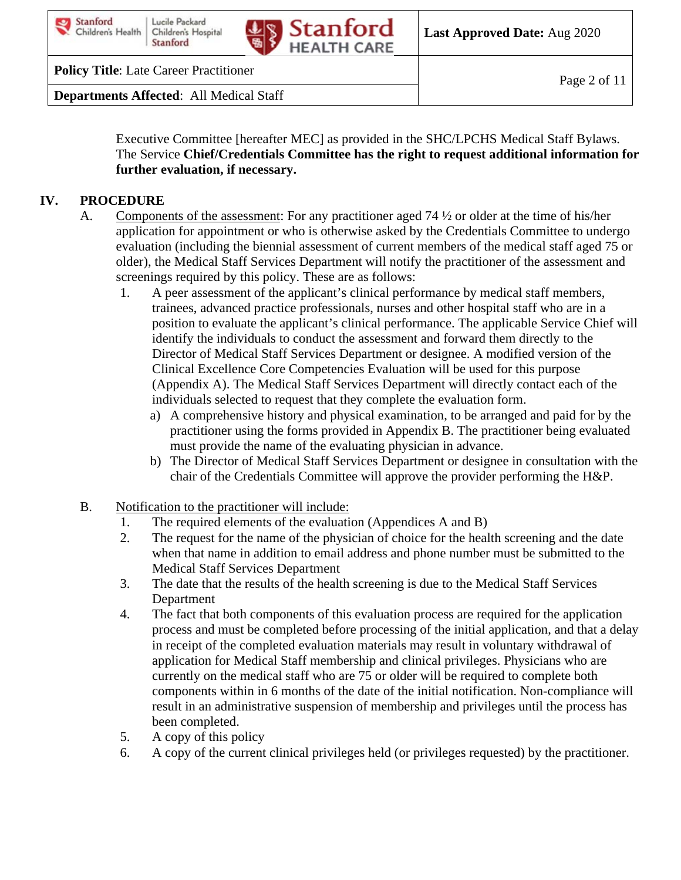



**Policy Title**: Late Career Practitioner

**Departments Affected**: All Medical Staff

Executive Committee [hereafter MEC] as provided in the SHC/LPCHS Medical Staff Bylaws. The Service **Chief/Credentials Committee has the right to request additional information for further evaluation, if necessary.** 

### **IV. PROCEDURE**

- A. Components of the assessment: For any practitioner aged 74 ½ or older at the time of his/her application for appointment or who is otherwise asked by the Credentials Committee to undergo evaluation (including the biennial assessment of current members of the medical staff aged 75 or older), the Medical Staff Services Department will notify the practitioner of the assessment and screenings required by this policy. These are as follows:
	- 1. A peer assessment of the applicant's clinical performance by medical staff members, trainees, advanced practice professionals, nurses and other hospital staff who are in a position to evaluate the applicant's clinical performance. The applicable Service Chief will identify the individuals to conduct the assessment and forward them directly to the Director of Medical Staff Services Department or designee. A modified version of the Clinical Excellence Core Competencies Evaluation will be used for this purpose (Appendix A). The Medical Staff Services Department will directly contact each of the individuals selected to request that they complete the evaluation form.
		- a) A comprehensive history and physical examination, to be arranged and paid for by the practitioner using the forms provided in Appendix B. The practitioner being evaluated must provide the name of the evaluating physician in advance.
		- b) The Director of Medical Staff Services Department or designee in consultation with the chair of the Credentials Committee will approve the provider performing the H&P.
- B. Notification to the practitioner will include:
	- 1. The required elements of the evaluation (Appendices A and B)
	- 2. The request for the name of the physician of choice for the health screening and the date when that name in addition to email address and phone number must be submitted to the Medical Staff Services Department
	- 3. The date that the results of the health screening is due to the Medical Staff Services Department
	- 4. The fact that both components of this evaluation process are required for the application process and must be completed before processing of the initial application, and that a delay in receipt of the completed evaluation materials may result in voluntary withdrawal of application for Medical Staff membership and clinical privileges. Physicians who are currently on the medical staff who are 75 or older will be required to complete both components within in 6 months of the date of the initial notification. Non-compliance will result in an administrative suspension of membership and privileges until the process has been completed.
	- 5. A copy of this policy
	- 6. A copy of the current clinical privileges held (or privileges requested) by the practitioner.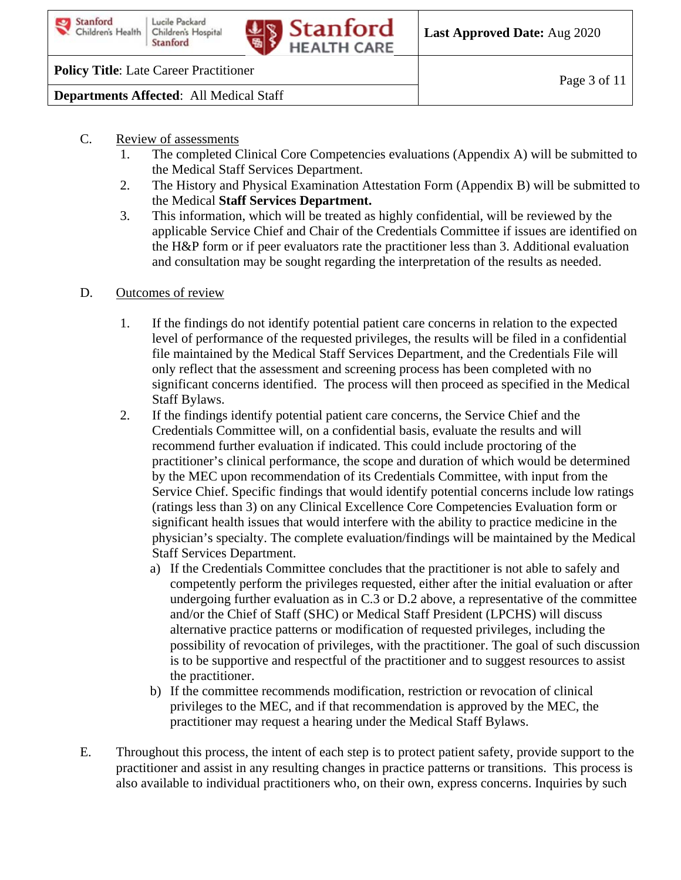

**Policy Title**: Late Career Practitioner

**Departments Affected**: All Medical Staff

- C. Review of assessments
	- 1. The completed Clinical Core Competencies evaluations (Appendix A) will be submitted to the Medical Staff Services Department.
	- 2. The History and Physical Examination Attestation Form (Appendix B) will be submitted to the Medical **Staff Services Department.**
	- 3. This information, which will be treated as highly confidential, will be reviewed by the applicable Service Chief and Chair of the Credentials Committee if issues are identified on the H&P form or if peer evaluators rate the practitioner less than 3. Additional evaluation and consultation may be sought regarding the interpretation of the results as needed.
- D. Outcomes of review
	- 1. If the findings do not identify potential patient care concerns in relation to the expected level of performance of the requested privileges, the results will be filed in a confidential file maintained by the Medical Staff Services Department, and the Credentials File will only reflect that the assessment and screening process has been completed with no significant concerns identified. The process will then proceed as specified in the Medical Staff Bylaws.
	- 2. If the findings identify potential patient care concerns, the Service Chief and the Credentials Committee will, on a confidential basis, evaluate the results and will recommend further evaluation if indicated. This could include proctoring of the practitioner's clinical performance, the scope and duration of which would be determined by the MEC upon recommendation of its Credentials Committee, with input from the Service Chief. Specific findings that would identify potential concerns include low ratings (ratings less than 3) on any Clinical Excellence Core Competencies Evaluation form or significant health issues that would interfere with the ability to practice medicine in the physician's specialty. The complete evaluation/findings will be maintained by the Medical Staff Services Department.
		- a) If the Credentials Committee concludes that the practitioner is not able to safely and competently perform the privileges requested, either after the initial evaluation or after undergoing further evaluation as in C.3 or D.2 above, a representative of the committee and/or the Chief of Staff (SHC) or Medical Staff President (LPCHS) will discuss alternative practice patterns or modification of requested privileges, including the possibility of revocation of privileges, with the practitioner. The goal of such discussion is to be supportive and respectful of the practitioner and to suggest resources to assist the practitioner.
		- b) If the committee recommends modification, restriction or revocation of clinical privileges to the MEC, and if that recommendation is approved by the MEC, the practitioner may request a hearing under the Medical Staff Bylaws.
- E. Throughout this process, the intent of each step is to protect patient safety, provide support to the practitioner and assist in any resulting changes in practice patterns or transitions. This process is also available to individual practitioners who, on their own, express concerns. Inquiries by such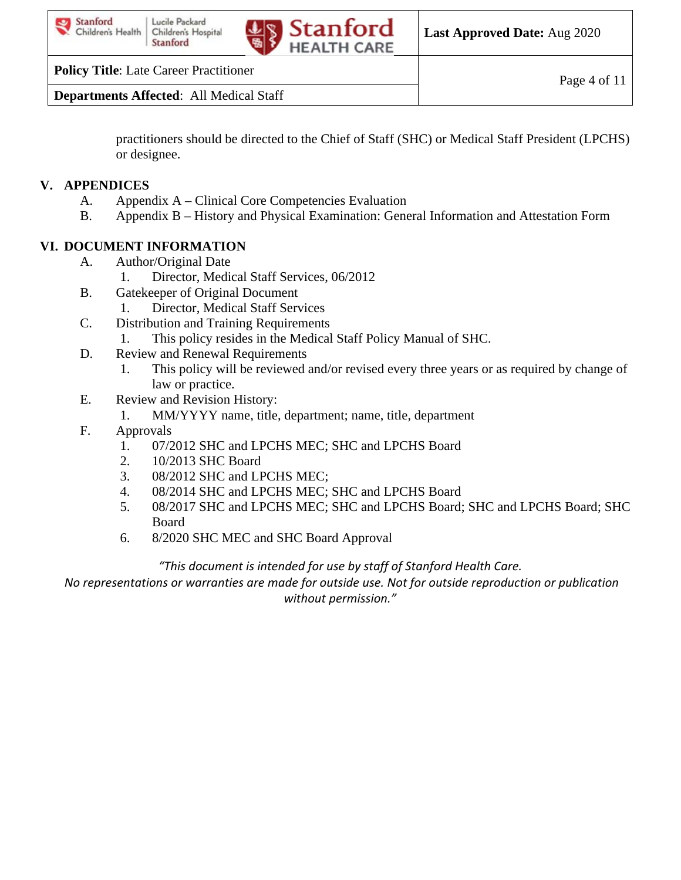

**Policy Title**: Late Career Practitioner

**Departments Affected**: All Medical Staff

practitioners should be directed to the Chief of Staff (SHC) or Medical Staff President (LPCHS) or designee.

# **V. APPENDICES**

- A. Appendix A Clinical Core Competencies Evaluation
- B. Appendix B History and Physical Examination: General Information and Attestation Form

# **VI. DOCUMENT INFORMATION**

- A. Author/Original Date
	- 1. Director, Medical Staff Services, 06/2012
- B. Gatekeeper of Original Document
- 1. Director, Medical Staff Services
- C. Distribution and Training Requirements
	- 1. This policy resides in the Medical Staff Policy Manual of SHC.
- D. Review and Renewal Requirements
	- 1. This policy will be reviewed and/or revised every three years or as required by change of law or practice.
- E. Review and Revision History:
	- 1. MM/YYYY name, title, department; name, title, department
- F. Approvals
	- 1. 07/2012 SHC and LPCHS MEC; SHC and LPCHS Board
	- 2. 10/2013 SHC Board
	- 3. 08/2012 SHC and LPCHS MEC;
	- 4. 08/2014 SHC and LPCHS MEC; SHC and LPCHS Board
	- 5. 08/2017 SHC and LPCHS MEC; SHC and LPCHS Board; SHC and LPCHS Board; SHC Board
	- 6. 8/2020 SHC MEC and SHC Board Approval

### *"This document is intended for use by staff of Stanford Health Care.*

*No representations or warranties are made for outside use. Not for outside reproduction or publication without permission."*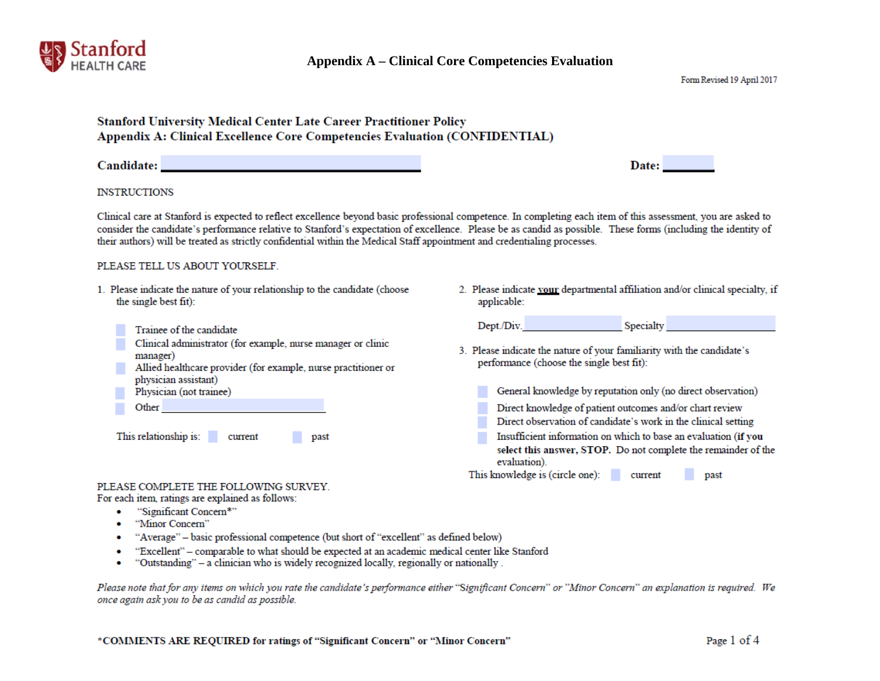

| <b>Stanford University Medical Center Late Career Practitioner Policy</b><br>Appendix A: Clinical Excellence Core Competencies Evaluation (CONFIDENTIAL)                                                                                                                                                                                                                                                                     |                                                                                                                                                                                                                                                                                                                                                                                                                                                                                                                                                             |
|------------------------------------------------------------------------------------------------------------------------------------------------------------------------------------------------------------------------------------------------------------------------------------------------------------------------------------------------------------------------------------------------------------------------------|-------------------------------------------------------------------------------------------------------------------------------------------------------------------------------------------------------------------------------------------------------------------------------------------------------------------------------------------------------------------------------------------------------------------------------------------------------------------------------------------------------------------------------------------------------------|
| Candidate: New York Street, New York Street, New York Street, New York Street, New York Street, New York Street, New York Street, New York Street, New York Street, New York Street, New York Street, New York Street, New Yor                                                                                                                                                                                               | Date:                                                                                                                                                                                                                                                                                                                                                                                                                                                                                                                                                       |
| <b>INSTRUCTIONS</b>                                                                                                                                                                                                                                                                                                                                                                                                          |                                                                                                                                                                                                                                                                                                                                                                                                                                                                                                                                                             |
| their authors) will be treated as strictly confidential within the Medical Staff appointment and credentialing processes.                                                                                                                                                                                                                                                                                                    | Clinical care at Stanford is expected to reflect excellence beyond basic professional competence. In completing each item of this assessment, you are asked to<br>consider the candidate's performance relative to Stanford's expectation of excellence. Please be as candid as possible. These forms (including the identity of                                                                                                                                                                                                                            |
| PLEASE TELL US ABOUT YOURSELF.                                                                                                                                                                                                                                                                                                                                                                                               |                                                                                                                                                                                                                                                                                                                                                                                                                                                                                                                                                             |
| 1. Please indicate the nature of your relationship to the candidate (choose<br>the single best fit):                                                                                                                                                                                                                                                                                                                         | 2. Please indicate your departmental affiliation and/or clinical specialty, if<br>applicable:                                                                                                                                                                                                                                                                                                                                                                                                                                                               |
| Trainee of the candidate<br>Clinical administrator (for example, nurse manager or clinic<br>manager)<br>Allied healthcare provider (for example, nurse practitioner or<br>physician assistant)<br>Physician (not trainee)<br>Other and the contract of the contract of the contract of the contract of the contract of the contract of the<br>This relationship is: current<br>past<br>PLEASE COMPLETE THE FOLLOWING SURVEY. | Dept./Div. Specialty Specialty<br>3. Please indicate the nature of your familiarity with the candidate's<br>performance (choose the single best fit):<br>General knowledge by reputation only (no direct observation)<br>Direct knowledge of patient outcomes and/or chart review<br>Direct observation of candidate's work in the clinical setting<br>Insufficient information on which to base an evaluation (if you<br>select this answer, STOP. Do not complete the remainder of the<br>evaluation).<br>This knowledge is (circle one): current<br>past |
| For each item, ratings are explained as follows:                                                                                                                                                                                                                                                                                                                                                                             |                                                                                                                                                                                                                                                                                                                                                                                                                                                                                                                                                             |

- "Significant Concern\*"  $\bullet$
- "Minor Concern"  $\bullet$
- "Average" basic professional competence (but short of "excellent" as defined below) ۰
- "Excellent" comparable to what should be expected at an academic medical center like Stanford  $\bullet$
- "Outstanding" a clinician who is widely recognized locally, regionally or nationally.  $\bullet$

Please note that for any items on which you rate the candidate's performance either "Significant Concern" or "Minor Concern" an explanation is required. We once again ask you to be as candid as possible.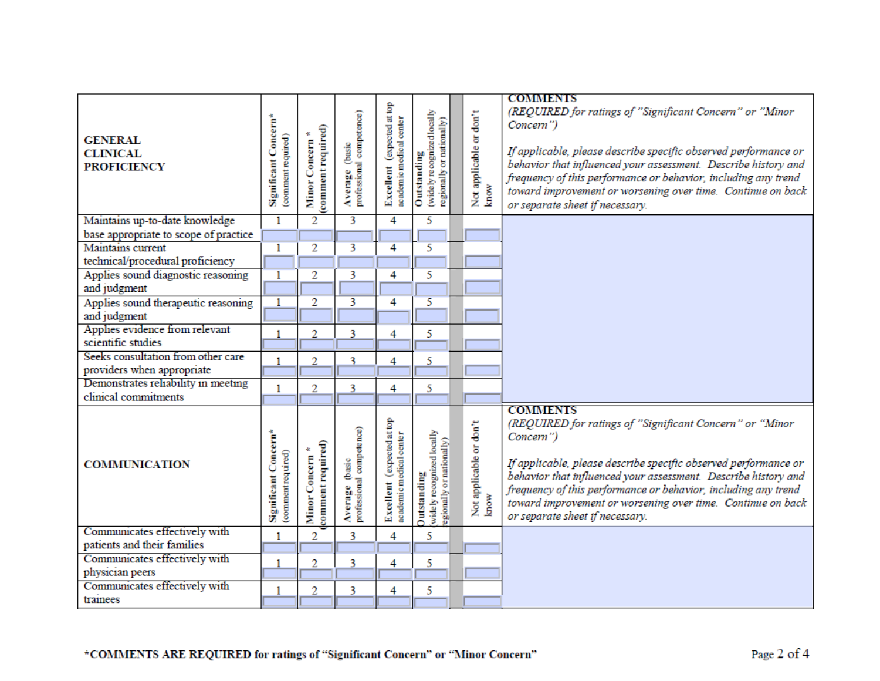| <b>GENERAL</b><br><b>CLINICAL</b><br><b>PROFICIENCY</b> | Significant Concern*<br>comment required)  | (comment required)<br>Minor Concern     | Average (basic<br>professional competence) | Excellent (expected at top<br>academic medical center | (widely recognized locally<br>regionally or nationally)<br>Outstanding      | Not applicable or don't<br>know | <b>COMMENTS</b><br>(REQUIRED for ratings of "Significant Concern" or "Minor<br>Concern")<br>If applicable, please describe specific observed performance or<br>behavior that influenced your assessment. Describe history and<br>frequency of this performance or behavior, including any trend<br>toward improvement or worsening over time. Continue on back<br>or separate sheet if necessary. |
|---------------------------------------------------------|--------------------------------------------|-----------------------------------------|--------------------------------------------|-------------------------------------------------------|-----------------------------------------------------------------------------|---------------------------------|---------------------------------------------------------------------------------------------------------------------------------------------------------------------------------------------------------------------------------------------------------------------------------------------------------------------------------------------------------------------------------------------------|
| Maintains up-to-date knowledge                          | $\overline{1}$                             | $\overline{2}$                          |                                            | 4                                                     | 5                                                                           |                                 |                                                                                                                                                                                                                                                                                                                                                                                                   |
| base appropriate to scope of practice                   |                                            |                                         |                                            |                                                       |                                                                             |                                 |                                                                                                                                                                                                                                                                                                                                                                                                   |
| Maintains current                                       | $\overline{1}$                             | $\overline{2}$                          | 3                                          | 4                                                     | 5                                                                           |                                 |                                                                                                                                                                                                                                                                                                                                                                                                   |
| technical/procedural proficiency                        |                                            |                                         |                                            |                                                       |                                                                             |                                 |                                                                                                                                                                                                                                                                                                                                                                                                   |
| Applies sound diagnostic reasoning                      | $\overline{1}$                             | 2                                       | 3                                          | 4                                                     | 5                                                                           |                                 |                                                                                                                                                                                                                                                                                                                                                                                                   |
| and judgment                                            |                                            |                                         |                                            |                                                       |                                                                             |                                 |                                                                                                                                                                                                                                                                                                                                                                                                   |
| Applies sound therapeutic reasoning                     | $\overline{1}$                             | $\overline{2}$                          | 3                                          | 4                                                     | 5                                                                           |                                 |                                                                                                                                                                                                                                                                                                                                                                                                   |
| and judgment                                            |                                            |                                         |                                            |                                                       |                                                                             |                                 |                                                                                                                                                                                                                                                                                                                                                                                                   |
| Applies evidence from relevant                          | 1                                          | $\overline{2}$                          | 3                                          | 4                                                     | 5                                                                           |                                 |                                                                                                                                                                                                                                                                                                                                                                                                   |
| scientific studies                                      |                                            |                                         |                                            |                                                       |                                                                             |                                 |                                                                                                                                                                                                                                                                                                                                                                                                   |
| Seeks consultation from other care                      | $\mathbf{1}$                               | 2                                       | 3                                          | 4                                                     | 5                                                                           |                                 |                                                                                                                                                                                                                                                                                                                                                                                                   |
| providers when appropriate                              |                                            |                                         |                                            |                                                       |                                                                             |                                 |                                                                                                                                                                                                                                                                                                                                                                                                   |
| Demonstrates reliability in meeting                     | $\mathbf{1}$                               | 2                                       | 3                                          | 4                                                     | 5                                                                           |                                 |                                                                                                                                                                                                                                                                                                                                                                                                   |
| clinical commitments                                    |                                            |                                         |                                            |                                                       |                                                                             |                                 |                                                                                                                                                                                                                                                                                                                                                                                                   |
| <b>COMMUNICATION</b>                                    | Significant Concern*<br>(comment required) | comment required)<br>4<br>Minor Concern | Average (basic<br>professional competence) | Excellent (expected at top<br>academic medical center | widely recognized locally<br>egionally or nationally)<br><b>Outstanding</b> | Not applicable or don't<br>know | <b>COMMENTS</b><br>(REQUIRED for ratings of "Significant Concern" or "Minor<br>Concern")<br>If applicable, please describe specific observed performance or<br>behavior that influenced your assessment. Describe history and<br>frequency of this performance or behavior, including any trend<br>toward improvement or worsening over time. Continue on back<br>or separate sheet if necessary. |
| Communicates effectively with                           | $\mathbf{1}$                               | 2                                       | 3                                          | 4                                                     | 5                                                                           |                                 |                                                                                                                                                                                                                                                                                                                                                                                                   |
| patients and their families                             |                                            |                                         |                                            |                                                       |                                                                             |                                 |                                                                                                                                                                                                                                                                                                                                                                                                   |
| Communicates effectively with                           | 1                                          | 2                                       | 3                                          | 4                                                     | 5                                                                           |                                 |                                                                                                                                                                                                                                                                                                                                                                                                   |
| physician peers                                         |                                            |                                         |                                            |                                                       |                                                                             |                                 |                                                                                                                                                                                                                                                                                                                                                                                                   |
| Communicates effectively with                           | 1                                          | 2                                       | 3                                          | 4                                                     | 5                                                                           |                                 |                                                                                                                                                                                                                                                                                                                                                                                                   |
| trainees                                                |                                            |                                         |                                            |                                                       |                                                                             |                                 |                                                                                                                                                                                                                                                                                                                                                                                                   |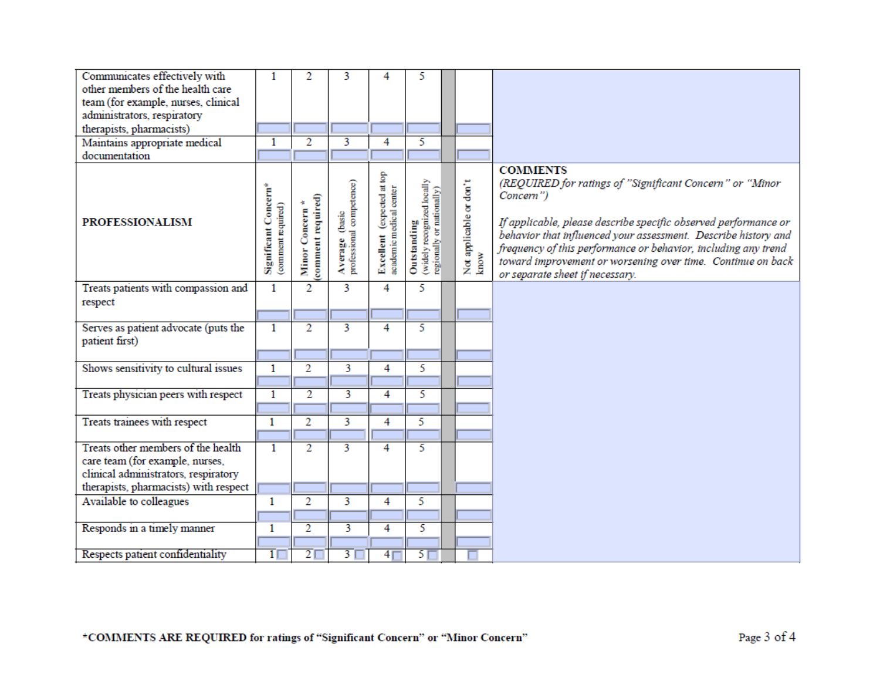| Communicates effectively with         | 1                                          | 2                                  | 3                                          | 4                                                     | 5                                                                      |                                 |                                                                                                                                                                                                                                                                                                                                                                                                   |
|---------------------------------------|--------------------------------------------|------------------------------------|--------------------------------------------|-------------------------------------------------------|------------------------------------------------------------------------|---------------------------------|---------------------------------------------------------------------------------------------------------------------------------------------------------------------------------------------------------------------------------------------------------------------------------------------------------------------------------------------------------------------------------------------------|
| other members of the health care      |                                            |                                    |                                            |                                                       |                                                                        |                                 |                                                                                                                                                                                                                                                                                                                                                                                                   |
| team (for example, nurses, clinical   |                                            |                                    |                                            |                                                       |                                                                        |                                 |                                                                                                                                                                                                                                                                                                                                                                                                   |
| administrators, respiratory           |                                            |                                    |                                            |                                                       |                                                                        |                                 |                                                                                                                                                                                                                                                                                                                                                                                                   |
| therapists, pharmacists)              |                                            |                                    |                                            |                                                       |                                                                        |                                 |                                                                                                                                                                                                                                                                                                                                                                                                   |
| Maintains appropriate medical         | 1                                          | $\overline{2}$                     | 3                                          | 4                                                     | 5                                                                      |                                 |                                                                                                                                                                                                                                                                                                                                                                                                   |
| documentation                         |                                            |                                    |                                            |                                                       |                                                                        |                                 |                                                                                                                                                                                                                                                                                                                                                                                                   |
| <b>PROFESSIONALISM</b>                | Significant Concern*<br>(comment required) | comment required)<br>Minor Concern | Average (basic<br>professional competence) | Excellent (expected at top<br>academic medical center | (widely recognized locally<br>regionally or nationally)<br>Outstanding | Not applicable or don't<br>know | <b>COMMENTS</b><br>(REQUIRED for ratings of "Significant Concern" or "Minor<br>Concern")<br>If applicable, please describe specific observed performance or<br>behavior that influenced your assessment. Describe history and<br>frequency of this performance or behavior, including any trend<br>toward improvement or worsening over time. Continue on back<br>or separate sheet if necessary. |
| Treats patients with compassion and   | $\mathbf{1}$                               | $\overline{2}$                     | 3                                          | 4                                                     | 5                                                                      |                                 |                                                                                                                                                                                                                                                                                                                                                                                                   |
| respect                               |                                            |                                    |                                            |                                                       |                                                                        |                                 |                                                                                                                                                                                                                                                                                                                                                                                                   |
|                                       |                                            |                                    |                                            |                                                       |                                                                        |                                 |                                                                                                                                                                                                                                                                                                                                                                                                   |
| Serves as patient advocate (puts the  | $\mathbf{1}$                               | $\overline{2}$                     | $\overline{\mathbf{3}}$                    | 4                                                     | 5                                                                      |                                 |                                                                                                                                                                                                                                                                                                                                                                                                   |
| patient first)                        |                                            |                                    |                                            |                                                       |                                                                        |                                 |                                                                                                                                                                                                                                                                                                                                                                                                   |
|                                       |                                            |                                    |                                            |                                                       |                                                                        |                                 |                                                                                                                                                                                                                                                                                                                                                                                                   |
| Shows sensitivity to cultural issues  | $\mathbf{1}$                               | $\overline{2}$                     | $\overline{3}$                             | 4                                                     | 5                                                                      |                                 |                                                                                                                                                                                                                                                                                                                                                                                                   |
|                                       |                                            |                                    |                                            |                                                       |                                                                        |                                 |                                                                                                                                                                                                                                                                                                                                                                                                   |
| Treats physician peers with respect   | $\overline{1}$                             | $\overline{2}$                     | $\overline{\mathbf{3}}$                    | 4                                                     | 5                                                                      |                                 |                                                                                                                                                                                                                                                                                                                                                                                                   |
|                                       |                                            |                                    |                                            |                                                       |                                                                        |                                 |                                                                                                                                                                                                                                                                                                                                                                                                   |
| Treats trainees with respect          | 1                                          | $\overline{2}$                     | 3                                          | 4                                                     | 5                                                                      |                                 |                                                                                                                                                                                                                                                                                                                                                                                                   |
|                                       |                                            |                                    |                                            |                                                       |                                                                        |                                 |                                                                                                                                                                                                                                                                                                                                                                                                   |
| Treats other members of the health    | 1                                          | $\overline{2}$                     | $\overline{\mathbf{3}}$                    | 4                                                     | 5                                                                      |                                 |                                                                                                                                                                                                                                                                                                                                                                                                   |
| care team (for example, nurses,       |                                            |                                    |                                            |                                                       |                                                                        |                                 |                                                                                                                                                                                                                                                                                                                                                                                                   |
| clinical administrators, respiratory  |                                            |                                    |                                            |                                                       |                                                                        |                                 |                                                                                                                                                                                                                                                                                                                                                                                                   |
| therapists, pharmacists) with respect |                                            |                                    |                                            |                                                       |                                                                        |                                 |                                                                                                                                                                                                                                                                                                                                                                                                   |
| Available to colleagues               | 1                                          | $\overline{2}$                     | $\overline{3}$                             | 4                                                     | 5                                                                      |                                 |                                                                                                                                                                                                                                                                                                                                                                                                   |
|                                       |                                            |                                    |                                            |                                                       |                                                                        |                                 |                                                                                                                                                                                                                                                                                                                                                                                                   |
| Responds in a timely manner           | 1                                          | $\overline{2}$                     | 3                                          | 4                                                     | 5                                                                      |                                 |                                                                                                                                                                                                                                                                                                                                                                                                   |
|                                       |                                            |                                    |                                            |                                                       |                                                                        |                                 |                                                                                                                                                                                                                                                                                                                                                                                                   |
| Respects patient confidentiality      | $\overline{1}$                             | 2 <sub>1</sub>                     | $\overline{3}$ [                           | 4 <sub>l</sub>                                        | $5\Box$                                                                |                                 |                                                                                                                                                                                                                                                                                                                                                                                                   |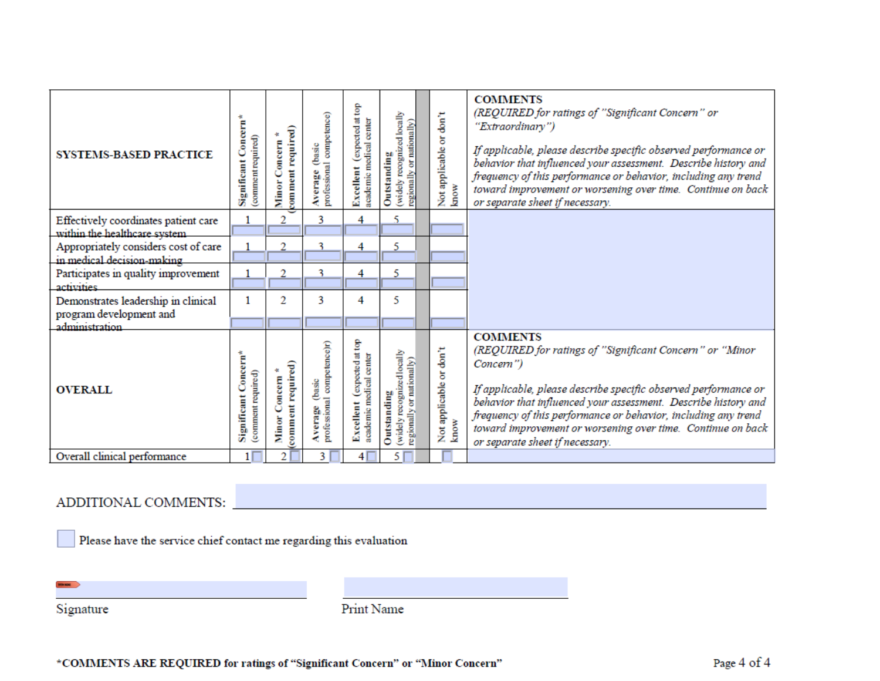| <b>SYSTEMS-BASED PRACTICE</b>                                         | Significant Concern*<br>(comment required) | comment required)<br>Minor Concern    | professional competence)<br>Average (basic      | (expected at top<br>academic medical center<br>Excellent | reognized locally<br>regionally or nationally)<br>Outstanding<br>(widely) | Not applicable or don't<br>know | <b>COMMENTS</b><br>(REQUIRED for ratings of "Significant Concern" or<br>"Extraordinary")<br>If applicable, please describe specific observed performance or<br>behavior that influenced your assessment. Describe history and<br>frequency of this performance or behavior, including any trend<br>toward improvement or worsening over time. Continue on back<br>or separate sheet if necessary. |
|-----------------------------------------------------------------------|--------------------------------------------|---------------------------------------|-------------------------------------------------|----------------------------------------------------------|---------------------------------------------------------------------------|---------------------------------|---------------------------------------------------------------------------------------------------------------------------------------------------------------------------------------------------------------------------------------------------------------------------------------------------------------------------------------------------------------------------------------------------|
| Effectively coordinates patient care<br>within the healthcare system. | 1                                          | 2                                     | 3                                               | 4                                                        | 5                                                                         |                                 |                                                                                                                                                                                                                                                                                                                                                                                                   |
| Appropriately considers cost of care                                  |                                            | 2                                     | 3                                               | 4                                                        | 5                                                                         |                                 |                                                                                                                                                                                                                                                                                                                                                                                                   |
| in medical decision-making.<br>Participates in quality improvement    |                                            | $\overline{2}$                        | 3                                               | 4                                                        | 5                                                                         |                                 |                                                                                                                                                                                                                                                                                                                                                                                                   |
| activities                                                            |                                            |                                       |                                                 |                                                          |                                                                           |                                 |                                                                                                                                                                                                                                                                                                                                                                                                   |
| Demonstrates leadership in clinical                                   | 1                                          | 2                                     | 3                                               | 4                                                        | 5                                                                         |                                 |                                                                                                                                                                                                                                                                                                                                                                                                   |
| program development and<br>administration                             |                                            |                                       |                                                 |                                                          |                                                                           |                                 |                                                                                                                                                                                                                                                                                                                                                                                                   |
| <b>OVERALL</b>                                                        | Significant Concern*<br>(comment required) | comment required)<br>Concern<br>Minor | professional competence)r)<br>(basic<br>Average | expected at top<br>academic medical center<br>Excellent  | (widely recognized locally<br>regionally or nationally)<br>Outstanding    | Not applicable or don't<br>know | <b>COMMENTS</b><br>(REQUIRED for ratings of "Significant Concern" or "Minor<br>Concern")<br>If applicable, please describe specific observed performance or<br>behavior that influenced your assessment. Describe history and<br>frequency of this performance or behavior, including any trend<br>toward improvement or worsening over time. Continue on back<br>or separate sheet if necessary. |
| Overall clinical performance                                          | 1                                          | $\overline{2}$                        | 3                                               | 4 I                                                      | 5                                                                         |                                 |                                                                                                                                                                                                                                                                                                                                                                                                   |

# ADDITIONAL COMMENTS:

Please have the service chief contact me regarding this evaluation

Signature

Print Name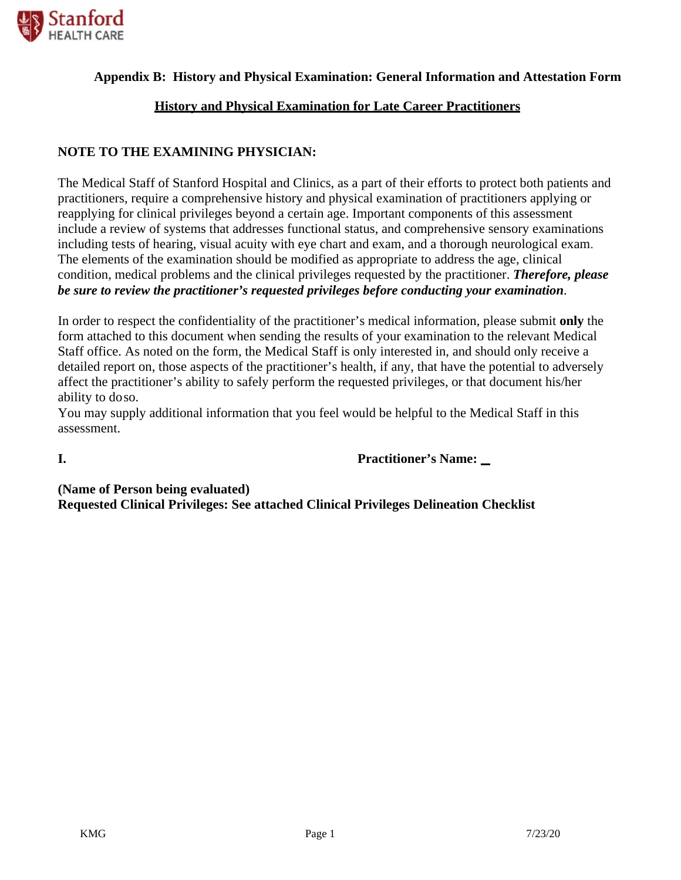

#### **Appendix B: History and Physical Examination: General Information and Attestation Form**

#### **History and Physical Examination for Late Career Practitioners**

#### **NOTE TO THE EXAMINING PHYSICIAN:**

The Medical Staff of Stanford Hospital and Clinics, as a part of their efforts to protect both patients and practitioners, require a comprehensive history and physical examination of practitioners applying or reapplying for clinical privileges beyond a certain age. Important components of this assessment include a review of systems that addresses functional status, and comprehensive sensory examinations including tests of hearing, visual acuity with eye chart and exam, and a thorough neurological exam. The elements of the examination should be modified as appropriate to address the age, clinical condition, medical problems and the clinical privileges requested by the practitioner. *Therefore, please be sure to review the practitioner's requested privileges before conducting your examination*.

In order to respect the confidentiality of the practitioner's medical information, please submit **only** the form attached to this document when sending the results of your examination to the relevant Medical Staff office. As noted on the form, the Medical Staff is only interested in, and should only receive a detailed report on, those aspects of the practitioner's health, if any, that have the potential to adversely affect the practitioner's ability to safely perform the requested privileges, or that document his/her ability to do so.

You may supply additional information that you feel would be helpful to the Medical Staff in this assessment.

**I. Practitioner's Name:** 

**(Name of Person being evaluated) Requested Clinical Privileges: See attached Clinical Privileges Delineation Checklist**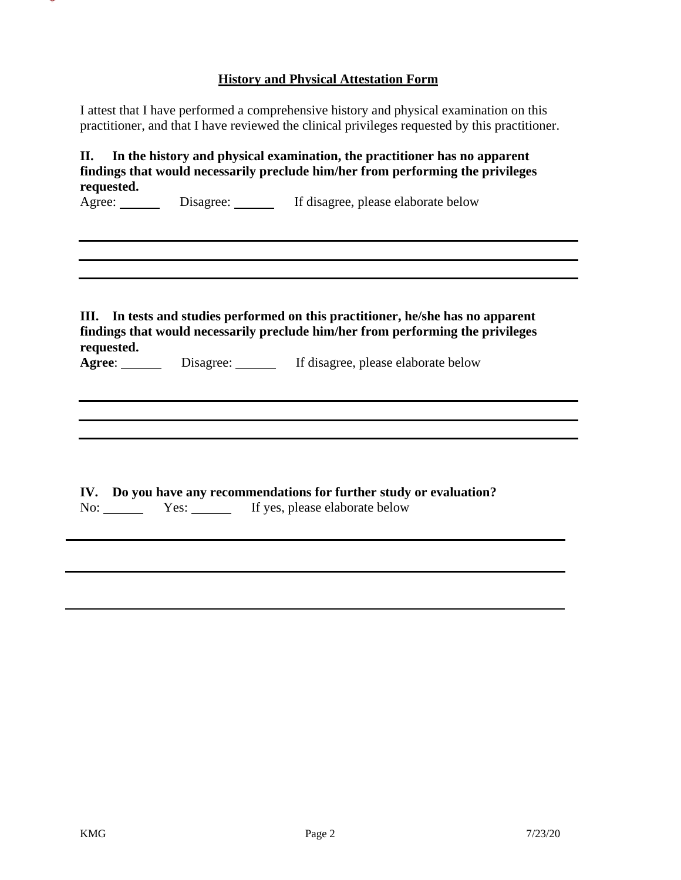### **History and Physical Attestation Form**

I attest that I have performed a comprehensive history and physical examination on this practitioner, and that I have reviewed the clinical privileges requested by this practitioner.

|            | Agree: Disagree: If disagree, please elaborate below                            |
|------------|---------------------------------------------------------------------------------|
| Ш.         | In tests and studies performed on this practitioner, he/she has no apparent     |
| requested. | findings that would necessarily preclude him/her from performing the privileges |
|            | Agree: Disagree: If disagree, please elaborate below                            |
|            |                                                                                 |
|            | IV. Do you have any recommendations for further study or evaluation?            |
|            | No: Yes: Yes: If yes, please elaborate below                                    |
|            |                                                                                 |

÷